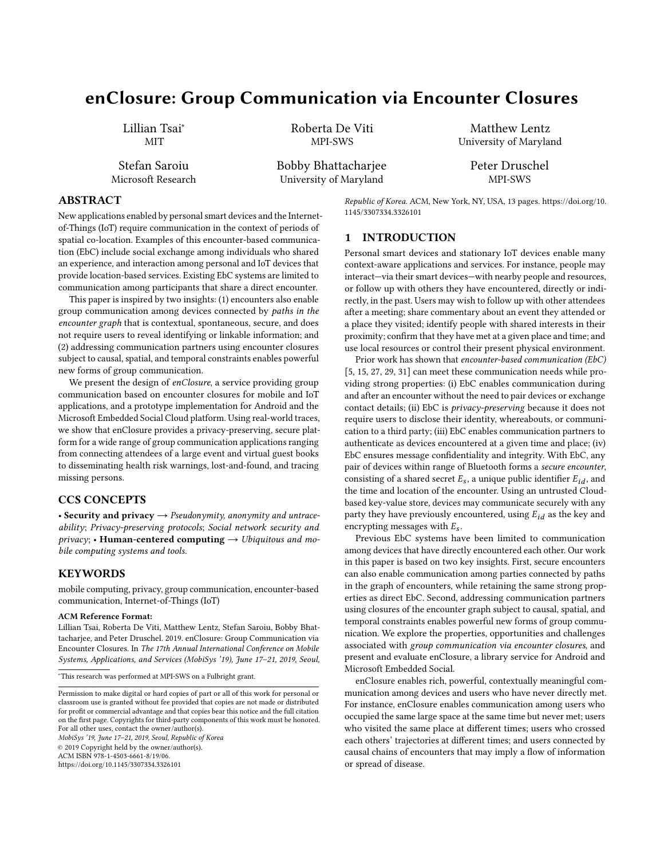# enClosure: Group Communication via Encounter Closures

Lillian Tsai<sup>∗</sup> MIT

Stefan Saroiu Microsoft Research Roberta De Viti MPI-SWS

Bobby Bhattacharjee University of Maryland

Matthew Lentz University of Maryland Peter Druschel

MPI-SWS

ABSTRACT

New applications enabled by personal smart devices and the Internetof-Things (IoT) require communication in the context of periods of spatial co-location. Examples of this encounter-based communication (EbC) include social exchange among individuals who shared an experience, and interaction among personal and IoT devices that provide location-based services. Existing EbC systems are limited to communication among participants that share a direct encounter.

This paper is inspired by two insights: (1) encounters also enable group communication among devices connected by paths in the encounter graph that is contextual, spontaneous, secure, and does not require users to reveal identifying or linkable information; and (2) addressing communication partners using encounter closures subject to causal, spatial, and temporal constraints enables powerful new forms of group communication.

We present the design of enClosure, a service providing group communication based on encounter closures for mobile and IoT applications, and a prototype implementation for Android and the Microsoft Embedded Social Cloud platform. Using real-world traces, we show that enClosure provides a privacy-preserving, secure platform for a wide range of group communication applications ranging from connecting attendees of a large event and virtual guest books to disseminating health risk warnings, lost-and-found, and tracing missing persons.

# CCS CONCEPTS

• Security and privacy  $\rightarrow$  Pseudonymity, anonymity and untraceability; Privacy-preserving protocols; Social network security and  $\text{pri}\text{vac}\text{y}$ ; • Human-centered computing  $\rightarrow$  Ubiquitous and mobile computing systems and tools.

# **KEYWORDS**

mobile computing, privacy, group communication, encounter-based communication, Internet-of-Things (IoT)

#### ACM Reference Format:

Lillian Tsai, Roberta De Viti, Matthew Lentz, Stefan Saroiu, Bobby Bhattacharjee, and Peter Druschel. 2019. enClosure: Group Communication via Encounter Closures. In The 17th Annual International Conference on Mobile Systems, Applications, and Services (MobiSys '19), June 17–21, 2019, Seoul,

MobiSys '19, June 17–21, 2019, Seoul, Republic of Korea © 2019 Copyright held by the owner/author(s). ACM ISBN 978-1-4503-6661-8/19/06.

<https://doi.org/10.1145/3307334.3326101>

Republic of Korea. ACM, New York, NY, USA, [13](#page-12-0) pages. [https://doi.org/10.](https://doi.org/10.1145/3307334.3326101) [1145/3307334.3326101](https://doi.org/10.1145/3307334.3326101)

### 1 INTRODUCTION

Personal smart devices and stationary IoT devices enable many context-aware applications and services. For instance, people may interact—via their smart devices—with nearby people and resources, or follow up with others they have encountered, directly or indirectly, in the past. Users may wish to follow up with other attendees after a meeting; share commentary about an event they attended or a place they visited; identify people with shared interests in their proximity; confirm that they have met at a given place and time; and use local resources or control their present physical environment.

Prior work has shown that encounter-based communication (EbC) [\[5,](#page-12-1) [15,](#page-12-2) [27,](#page-12-3) [29,](#page-12-4) [31\]](#page-12-5) can meet these communication needs while providing strong properties: (i) EbC enables communication during and after an encounter without the need to pair devices or exchange contact details; (ii) EbC is privacy-preserving because it does not require users to disclose their identity, whereabouts, or communication to a third party; (iii) EbC enables communication partners to authenticate as devices encountered at a given time and place; (iv) EbC ensures message confidentiality and integrity. With EbC, any pair of devices within range of Bluetooth forms a secure encounter, consisting of a shared secret  $E_s$ , a unique public identifier  $E_{id}$ , and the time and location of the encounter. Using an untrusted Cloudbased key-value store, devices may communicate securely with any party they have previously encountered, using  $E_{id}$  as the key and encrypting messages with  $E_s$ .

Previous EbC systems have been limited to communication among devices that have directly encountered each other. Our work in this paper is based on two key insights. First, secure encounters can also enable communication among parties connected by paths in the graph of encounters, while retaining the same strong properties as direct EbC. Second, addressing communication partners using closures of the encounter graph subject to causal, spatial, and temporal constraints enables powerful new forms of group communication. We explore the properties, opportunities and challenges associated with group communication via encounter closures, and present and evaluate enClosure, a library service for Android and Microsoft Embedded Social.

enClosure enables rich, powerful, contextually meaningful communication among devices and users who have never directly met. For instance, enClosure enables communication among users who occupied the same large space at the same time but never met; users who visited the same place at different times; users who crossed each others' trajectories at different times; and users connected by causal chains of encounters that may imply a flow of information or spread of disease.

<sup>∗</sup>This research was performed at MPI-SWS on a Fulbright grant.

Permission to make digital or hard copies of part or all of this work for personal or classroom use is granted without fee provided that copies are not made or distributed for profit or commercial advantage and that copies bear this notice and the full citation on the first page. Copyrights for third-party components of this work must be honored. For all other uses, contact the owner/author(s).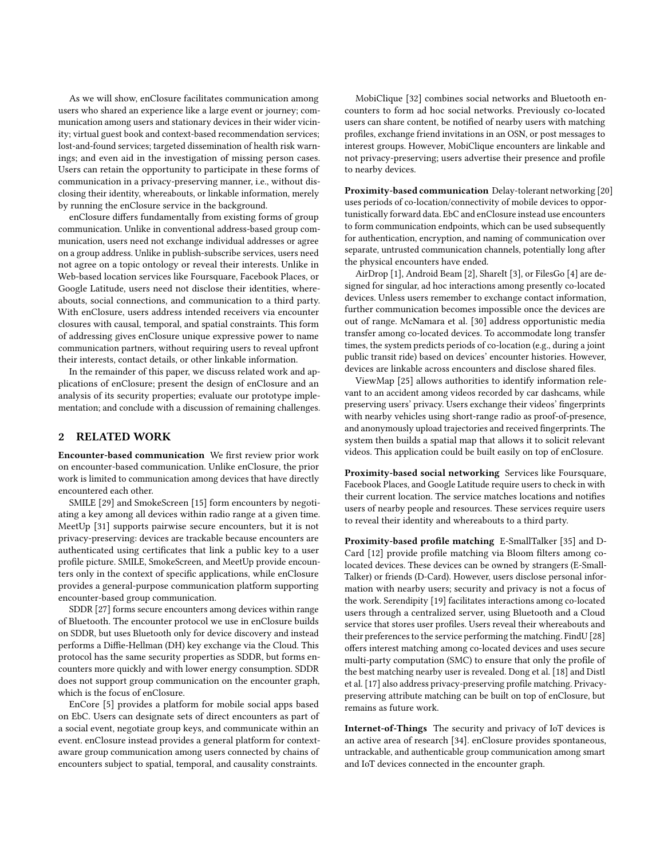As we will show, enClosure facilitates communication among users who shared an experience like a large event or journey; communication among users and stationary devices in their wider vicinity; virtual guest book and context-based recommendation services; lost-and-found services; targeted dissemination of health risk warnings; and even aid in the investigation of missing person cases. Users can retain the opportunity to participate in these forms of communication in a privacy-preserving manner, i.e., without disclosing their identity, whereabouts, or linkable information, merely by running the enClosure service in the background.

enClosure differs fundamentally from existing forms of group communication. Unlike in conventional address-based group communication, users need not exchange individual addresses or agree on a group address. Unlike in publish-subscribe services, users need not agree on a topic ontology or reveal their interests. Unlike in Web-based location services like Foursquare, Facebook Places, or Google Latitude, users need not disclose their identities, whereabouts, social connections, and communication to a third party. With enClosure, users address intended receivers via encounter closures with causal, temporal, and spatial constraints. This form of addressing gives enClosure unique expressive power to name communication partners, without requiring users to reveal upfront their interests, contact details, or other linkable information.

In the remainder of this paper, we discuss related work and applications of enClosure; present the design of enClosure and an analysis of its security properties; evaluate our prototype implementation; and conclude with a discussion of remaining challenges.

### 2 RELATED WORK

Encounter-based communication We first review prior work on encounter-based communication. Unlike enClosure, the prior work is limited to communication among devices that have directly encountered each other.

SMILE [\[29\]](#page-12-4) and SmokeScreen [\[15\]](#page-12-2) form encounters by negotiating a key among all devices within radio range at a given time. MeetUp [\[31\]](#page-12-5) supports pairwise secure encounters, but it is not privacy-preserving: devices are trackable because encounters are authenticated using certificates that link a public key to a user profile picture. SMILE, SmokeScreen, and MeetUp provide encounters only in the context of specific applications, while enClosure provides a general-purpose communication platform supporting encounter-based group communication.

SDDR [\[27\]](#page-12-3) forms secure encounters among devices within range of Bluetooth. The encounter protocol we use in enClosure builds on SDDR, but uses Bluetooth only for device discovery and instead performs a Diffie-Hellman (DH) key exchange via the Cloud. This protocol has the same security properties as SDDR, but forms encounters more quickly and with lower energy consumption. SDDR does not support group communication on the encounter graph, which is the focus of enClosure.

EnCore [\[5\]](#page-12-1) provides a platform for mobile social apps based on EbC. Users can designate sets of direct encounters as part of a social event, negotiate group keys, and communicate within an event. enClosure instead provides a general platform for contextaware group communication among users connected by chains of encounters subject to spatial, temporal, and causality constraints.

MobiClique [\[32\]](#page-12-6) combines social networks and Bluetooth encounters to form ad hoc social networks. Previously co-located users can share content, be notified of nearby users with matching profiles, exchange friend invitations in an OSN, or post messages to interest groups. However, MobiClique encounters are linkable and not privacy-preserving; users advertise their presence and profile to nearby devices.

Proximity-based communication Delay-tolerant networking [\[20\]](#page-12-7) uses periods of co-location/connectivity of mobile devices to opportunistically forward data. EbC and enClosure instead use encounters to form communication endpoints, which can be used subsequently for authentication, encryption, and naming of communication over separate, untrusted communication channels, potentially long after the physical encounters have ended.

AirDrop [\[1\]](#page-12-8), Android Beam [\[2\]](#page-12-9), ShareIt [\[3\]](#page-12-10), or FilesGo [\[4\]](#page-12-11) are designed for singular, ad hoc interactions among presently co-located devices. Unless users remember to exchange contact information, further communication becomes impossible once the devices are out of range. McNamara et al. [\[30\]](#page-12-12) address opportunistic media transfer among co-located devices. To accommodate long transfer times, the system predicts periods of co-location (e.g., during a joint public transit ride) based on devices' encounter histories. However, devices are linkable across encounters and disclose shared files.

ViewMap [\[25\]](#page-12-13) allows authorities to identify information relevant to an accident among videos recorded by car dashcams, while preserving users' privacy. Users exchange their videos' fingerprints with nearby vehicles using short-range radio as proof-of-presence, and anonymously upload trajectories and received fingerprints. The system then builds a spatial map that allows it to solicit relevant videos. This application could be built easily on top of enClosure.

Proximity-based social networking Services like Foursquare, Facebook Places, and Google Latitude require users to check in with their current location. The service matches locations and notifies users of nearby people and resources. These services require users to reveal their identity and whereabouts to a third party.

Proximity-based profile matching E-SmallTalker [\[35\]](#page-12-14) and D-Card [\[12\]](#page-12-15) provide profile matching via Bloom filters among colocated devices. These devices can be owned by strangers (E-Small-Talker) or friends (D-Card). However, users disclose personal information with nearby users; security and privacy is not a focus of the work. Serendipity [\[19\]](#page-12-16) facilitates interactions among co-located users through a centralized server, using Bluetooth and a Cloud service that stores user profiles. Users reveal their whereabouts and their preferences to the service performing the matching. FindU [\[28\]](#page-12-17) offers interest matching among co-located devices and uses secure multi-party computation (SMC) to ensure that only the profile of the best matching nearby user is revealed. Dong et al. [\[18\]](#page-12-18) and Distl et al. [\[17\]](#page-12-19) also address privacy-preserving profile matching. Privacypreserving attribute matching can be built on top of enClosure, but remains as future work.

Internet-of-Things The security and privacy of IoT devices is an active area of research [\[34\]](#page-12-20). enClosure provides spontaneous, untrackable, and authenticable group communication among smart and IoT devices connected in the encounter graph.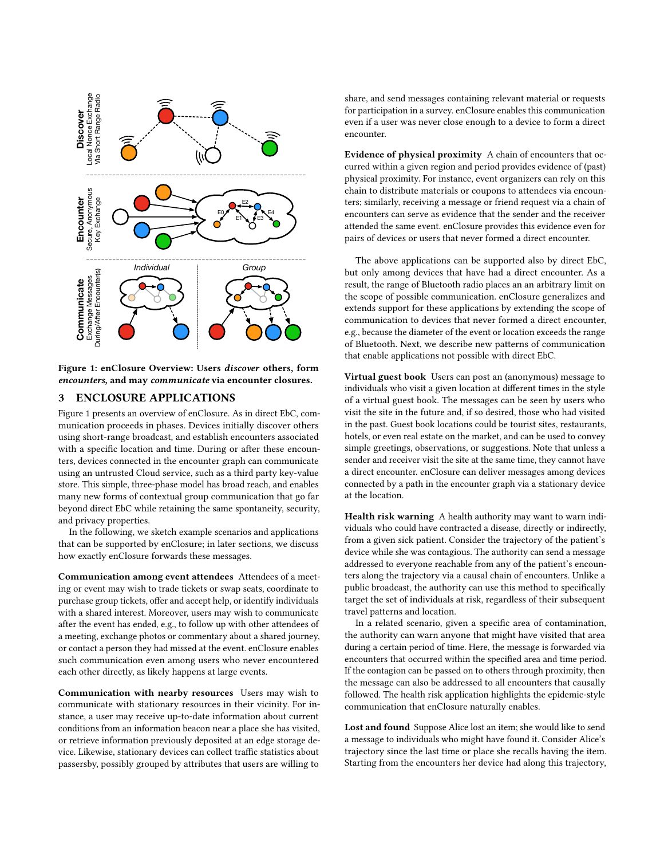<span id="page-2-0"></span>

Figure 1: enClosure Overview: Users discover others, form encounters, and may communicate via encounter closures.

### <span id="page-2-1"></span>3 ENCLOSURE APPLICATIONS

Figure [1](#page-2-0) presents an overview of enClosure. As in direct EbC, communication proceeds in phases. Devices initially discover others using short-range broadcast, and establish encounters associated with a specific location and time. During or after these encounters, devices connected in the encounter graph can communicate using an untrusted Cloud service, such as a third party key-value store. This simple, three-phase model has broad reach, and enables many new forms of contextual group communication that go far beyond direct EbC while retaining the same spontaneity, security, and privacy properties.

In the following, we sketch example scenarios and applications that can be supported by enClosure; in later sections, we discuss how exactly enClosure forwards these messages.

Communication among event attendees Attendees of a meeting or event may wish to trade tickets or swap seats, coordinate to purchase group tickets, offer and accept help, or identify individuals with a shared interest. Moreover, users may wish to communicate after the event has ended, e.g., to follow up with other attendees of a meeting, exchange photos or commentary about a shared journey, or contact a person they had missed at the event. enClosure enables such communication even among users who never encountered each other directly, as likely happens at large events.

Communication with nearby resources Users may wish to communicate with stationary resources in their vicinity. For instance, a user may receive up-to-date information about current conditions from an information beacon near a place she has visited, or retrieve information previously deposited at an edge storage device. Likewise, stationary devices can collect traffic statistics about passersby, possibly grouped by attributes that users are willing to

share, and send messages containing relevant material or requests for participation in a survey. enClosure enables this communication even if a user was never close enough to a device to form a direct encounter.

Evidence of physical proximity A chain of encounters that occurred within a given region and period provides evidence of (past) physical proximity. For instance, event organizers can rely on this chain to distribute materials or coupons to attendees via encounters; similarly, receiving a message or friend request via a chain of encounters can serve as evidence that the sender and the receiver attended the same event. enClosure provides this evidence even for pairs of devices or users that never formed a direct encounter.

The above applications can be supported also by direct EbC, but only among devices that have had a direct encounter. As a result, the range of Bluetooth radio places an an arbitrary limit on the scope of possible communication. enClosure generalizes and extends support for these applications by extending the scope of communication to devices that never formed a direct encounter, e.g., because the diameter of the event or location exceeds the range of Bluetooth. Next, we describe new patterns of communication that enable applications not possible with direct EbC.

Virtual guest book Users can post an (anonymous) message to individuals who visit a given location at different times in the style of a virtual guest book. The messages can be seen by users who visit the site in the future and, if so desired, those who had visited in the past. Guest book locations could be tourist sites, restaurants, hotels, or even real estate on the market, and can be used to convey simple greetings, observations, or suggestions. Note that unless a sender and receiver visit the site at the same time, they cannot have a direct encounter. enClosure can deliver messages among devices connected by a path in the encounter graph via a stationary device at the location.

Health risk warning A health authority may want to warn individuals who could have contracted a disease, directly or indirectly, from a given sick patient. Consider the trajectory of the patient's device while she was contagious. The authority can send a message addressed to everyone reachable from any of the patient's encounters along the trajectory via a causal chain of encounters. Unlike a public broadcast, the authority can use this method to specifically target the set of individuals at risk, regardless of their subsequent travel patterns and location.

In a related scenario, given a specific area of contamination, the authority can warn anyone that might have visited that area during a certain period of time. Here, the message is forwarded via encounters that occurred within the specified area and time period. If the contagion can be passed on to others through proximity, then the message can also be addressed to all encounters that causally followed. The health risk application highlights the epidemic-style communication that enClosure naturally enables.

Lost and found Suppose Alice lost an item; she would like to send a message to individuals who might have found it. Consider Alice's trajectory since the last time or place she recalls having the item. Starting from the encounters her device had along this trajectory,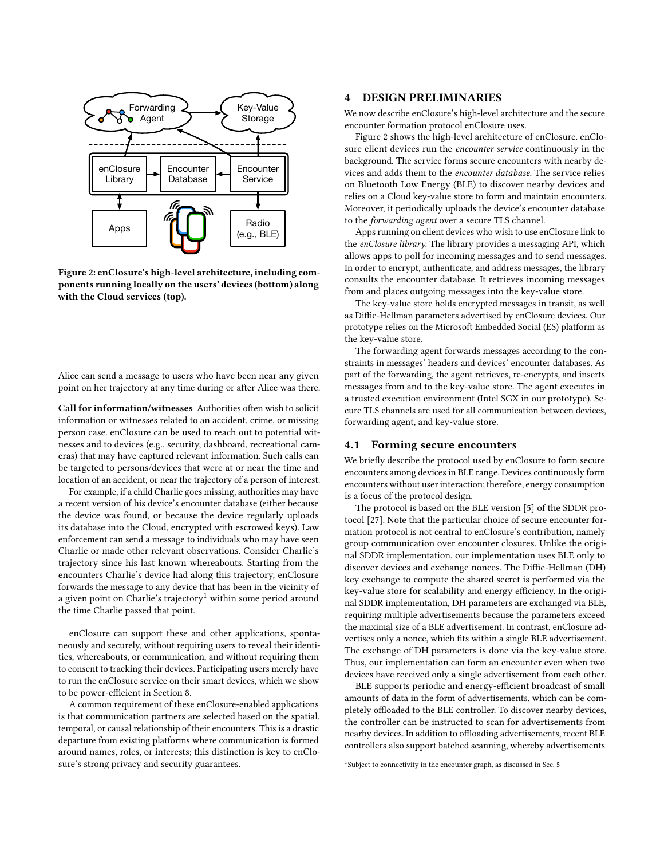<span id="page-3-1"></span>

Figure 2: enClosure's high-level architecture, including components running locally on the users' devices (bottom) along with the Cloud services (top).

Alice can send a message to users who have been near any given point on her trajectory at any time during or after Alice was there.

Call for information/witnesses Authorities often wish to solicit information or witnesses related to an accident, crime, or missing person case. enClosure can be used to reach out to potential witnesses and to devices (e.g., security, dashboard, recreational cameras) that may have captured relevant information. Such calls can be targeted to persons/devices that were at or near the time and location of an accident, or near the trajectory of a person of interest.

For example, if a child Charlie goes missing, authorities may have a recent version of his device's encounter database (either because the device was found, or because the device regularly uploads its database into the Cloud, encrypted with escrowed keys). Law enforcement can send a message to individuals who may have seen Charlie or made other relevant observations. Consider Charlie's trajectory since his last known whereabouts. Starting from the encounters Charlie's device had along this trajectory, enClosure forwards the message to any device that has been in the vicinity of a given point on Charlie's trajectory<sup>[1](#page-3-0)</sup> within some period around the time Charlie passed that point.

enClosure can support these and other applications, spontaneously and securely, without requiring users to reveal their identities, whereabouts, or communication, and without requiring them to consent to tracking their devices. Participating users merely have to run the enClosure service on their smart devices, which we show to be power-efficient in Section [8.](#page-7-0)

A common requirement of these enClosure-enabled applications is that communication partners are selected based on the spatial, temporal, or causal relationship of their encounters. This is a drastic departure from existing platforms where communication is formed around names, roles, or interests; this distinction is key to enClosure's strong privacy and security guarantees.

# 4 DESIGN PRELIMINARIES

We now describe enClosure's high-level architecture and the secure encounter formation protocol enClosure uses.

Figure [2](#page-3-1) shows the high-level architecture of enClosure. enClosure client devices run the encounter service continuously in the background. The service forms secure encounters with nearby devices and adds them to the encounter database. The service relies on Bluetooth Low Energy (BLE) to discover nearby devices and relies on a Cloud key-value store to form and maintain encounters. Moreover, it periodically uploads the device's encounter database to the forwarding agent over a secure TLS channel.

Apps running on client devices who wish to use enClosure link to the enClosure library. The library provides a messaging API, which allows apps to poll for incoming messages and to send messages. In order to encrypt, authenticate, and address messages, the library consults the encounter database. It retrieves incoming messages from and places outgoing messages into the key-value store.

The key-value store holds encrypted messages in transit, as well as Diffie-Hellman parameters advertised by enClosure devices. Our prototype relies on the Microsoft Embedded Social (ES) platform as the key-value store.

The forwarding agent forwards messages according to the constraints in messages' headers and devices' encounter databases. As part of the forwarding, the agent retrieves, re-encrypts, and inserts messages from and to the key-value store. The agent executes in a trusted execution environment (Intel SGX in our prototype). Secure TLS channels are used for all communication between devices, forwarding agent, and key-value store.

### <span id="page-3-2"></span>4.1 Forming secure encounters

We briefly describe the protocol used by enClosure to form secure encounters among devices in BLE range. Devices continuously form encounters without user interaction; therefore, energy consumption is a focus of the protocol design.

The protocol is based on the BLE version [\[5\]](#page-12-1) of the SDDR protocol [\[27\]](#page-12-3). Note that the particular choice of secure encounter formation protocol is not central to enClosure's contribution, namely group communication over encounter closures. Unlike the original SDDR implementation, our implementation uses BLE only to discover devices and exchange nonces. The Diffie-Hellman (DH) key exchange to compute the shared secret is performed via the key-value store for scalability and energy efficiency. In the original SDDR implementation, DH parameters are exchanged via BLE, requiring multiple advertisements because the parameters exceed the maximal size of a BLE advertisement. In contrast, enClosure advertises only a nonce, which fits within a single BLE advertisement. The exchange of DH parameters is done via the key-value store. Thus, our implementation can form an encounter even when two devices have received only a single advertisement from each other.

BLE supports periodic and energy-efficient broadcast of small amounts of data in the form of advertisements, which can be completely offloaded to the BLE controller. To discover nearby devices, the controller can be instructed to scan for advertisements from nearby devices. In addition to offloading advertisements, recent BLE controllers also support batched scanning, whereby advertisements

<span id="page-3-0"></span><sup>&</sup>lt;sup>1</sup>Subject to connectivity in the encounter graph, as discussed in Sec. [5](#page-4-0)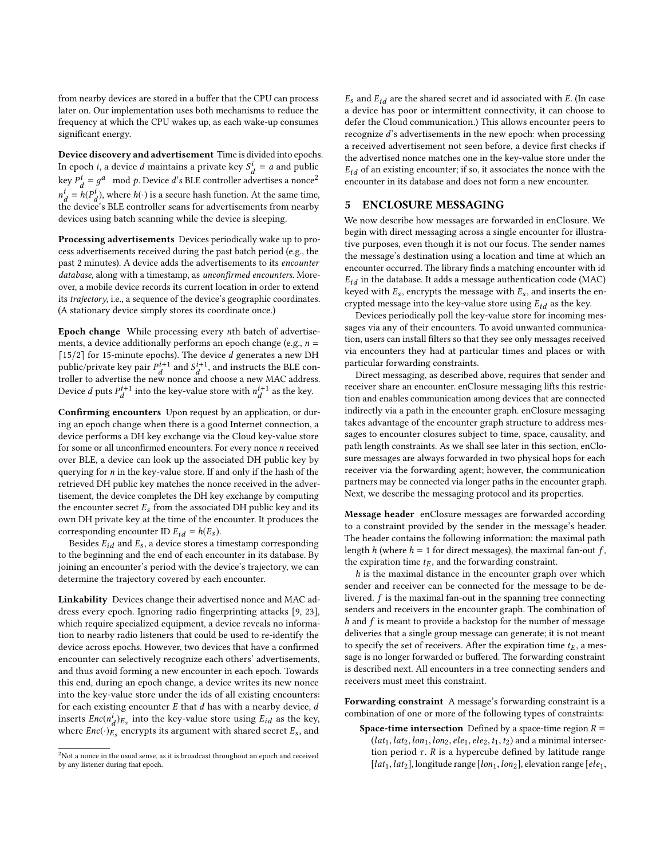from nearby devices are stored in a buffer that the CPU can process later on. Our implementation uses both mechanisms to reduce the frequency at which the CPU wakes up, as each wake-up consumes significant energy.

Device discovery and advertisement Time is divided into epochs. In epoch *i*, a device *d* maintains a private key  $S_d^1 = a$  and public key  $P_d^i = g^a \mod p$ . Device d's BLE controller advertises a nonce<sup>[2](#page-4-1)</sup>  $\frac{d}{dt} = h(P_d^i)$ , where  $h(\cdot)$  is a secure hash function. At the same time,  $\frac{d}{dt}$   $\frac{d}{dt}$ ,  $\frac{d}{dt}$ ,  $\frac{d}{dt}$ ,  $\frac{d}{dt}$ ,  $\frac{d}{dt}$  is a section transmitted in the device's BLE controller scans for advertisements from nearby devices using batch scanning while the device is sleeping.

Processing advertisements Devices periodically wake up to process advertisements received during the past batch period (e.g., the past 2 minutes). A device adds the advertisements to its encounter database, along with a timestamp, as unconfirmed encounters. Moreover, a mobile device records its current location in order to extend its trajectory, i.e., a sequence of the device's geographic coordinates. (A stationary device simply stores its coordinate once.)

Epoch change While processing every nth batch of advertisements, a device additionally performs an epoch change (e.g.,  $n =$ [15/2] for 15-minute epochs). The device  $d$  generates a new DH public/private key pair  $P_d^{i+1}$  and  $S_d^{i+1}$ <br>troller to advertise the new nonce and , and instructs the BLE controller to advertise the new nonce and choose a new MAC address. Device *d* puts  $P_d^{i+1}$  into the key-value store with  $n_d^{i+1}$  as the key.

Confirming encounters Upon request by an application, or during an epoch change when there is a good Internet connection, a device performs a DH key exchange via the Cloud key-value store for some or all unconfirmed encounters. For every nonce n received over BLE, a device can look up the associated DH public key by querying for  $n$  in the key-value store. If and only if the hash of the retrieved DH public key matches the nonce received in the advertisement, the device completes the DH key exchange by computing the encounter secret  $E_s$  from the associated DH public key and its own DH private key at the time of the encounter. It produces the corresponding encounter ID  $E_{id} = h(E_s)$ .

Besides  $E_{id}$  and  $E_s$ , a device stores a timestamp corresponding to the beginning and the end of each encounter in its database. By joining an encounter's period with the device's trajectory, we can determine the trajectory covered by each encounter.

Linkability Devices change their advertised nonce and MAC address every epoch. Ignoring radio fingerprinting attacks [\[9,](#page-12-21) [23\]](#page-12-22), which require specialized equipment, a device reveals no information to nearby radio listeners that could be used to re-identify the device across epochs. However, two devices that have a confirmed encounter can selectively recognize each others' advertisements, and thus avoid forming a new encounter in each epoch. Towards this end, during an epoch change, a device writes its new nonce into the key-value store under the ids of all existing encounters: for each existing encounter  $E$  that  $d$  has with a nearby device,  $d$ inserts  $Enc(n_d^i)_{Es}$  into the key-value store using  $E_{id}$  as the key,<br>where  $Enc(\overline{\text{S}}_{e})$  anounts its argument with shared sorat  $F$ , and where  $Enc(\cdot)_{E_s}$  encrypts its argument with shared secret  $E_s$ , and

 $E_s$  and  $E_{id}$  are the shared secret and id associated with E. (In case a device has poor or intermittent connectivity, it can choose to defer the Cloud communication.) This allows encounter peers to recognize d's advertisements in the new epoch: when processing a received advertisement not seen before, a device first checks if the advertised nonce matches one in the key-value store under the  $E_{id}$  of an existing encounter; if so, it associates the nonce with the encounter in its database and does not form a new encounter.

# <span id="page-4-0"></span>5 ENCLOSURE MESSAGING

We now describe how messages are forwarded in enClosure. We begin with direct messaging across a single encounter for illustrative purposes, even though it is not our focus. The sender names the message's destination using a location and time at which an encounter occurred. The library finds a matching encounter with id  $E_{id}$  in the database. It adds a message authentication code (MAC) keyed with  $E_s$ , encrypts the message with  $E_s$ , and inserts the encrypted message into the key-value store using  $E_{id}$  as the key.

Devices periodically poll the key-value store for incoming messages via any of their encounters. To avoid unwanted communication, users can install filters so that they see only messages received via encounters they had at particular times and places or with particular forwarding constraints.

Direct messaging, as described above, requires that sender and receiver share an encounter. enClosure messaging lifts this restriction and enables communication among devices that are connected indirectly via a path in the encounter graph. enClosure messaging takes advantage of the encounter graph structure to address messages to encounter closures subject to time, space, causality, and path length constraints. As we shall see later in this section, enClosure messages are always forwarded in two physical hops for each receiver via the forwarding agent; however, the communication partners may be connected via longer paths in the encounter graph. Next, we describe the messaging protocol and its properties.

Message header enClosure messages are forwarded according to a constraint provided by the sender in the message's header. The header contains the following information: the maximal path length h (where  $h = 1$  for direct messages), the maximal fan-out f, the expiration time  $t_E$ , and the forwarding constraint.

 $h$  is the maximal distance in the encounter graph over which sender and receiver can be connected for the message to be delivered.  $f$  is the maximal fan-out in the spanning tree connecting senders and receivers in the encounter graph. The combination of  $h$  and  $f$  is meant to provide a backstop for the number of message deliveries that a single group message can generate; it is not meant to specify the set of receivers. After the expiration time  $t_E$ , a message is no longer forwarded or buffered. The forwarding constraint is described next. All encounters in a tree connecting senders and receivers must meet this constraint.

Forwarding constraint A message's forwarding constraint is a combination of one or more of the following types of constraints:

**Space-time intersection** Defined by a space-time region  $R =$  $(lat_1,lat_2,lon_1,lon_2, ele_1, ele_2, t_1,t_2)$  and a minimal intersection period  $\tau$ . R is a hypercube defined by latitude range [ $lat_1, lat_2$ ], longitude range [ $lon_1, lon_2$ ], elevation range [ $ele_1$ ,

<span id="page-4-1"></span><sup>&</sup>lt;sup>2</sup>Not a nonce in the usual sense, as it is broadcast throughout an epoch and received by any listener during that epoch.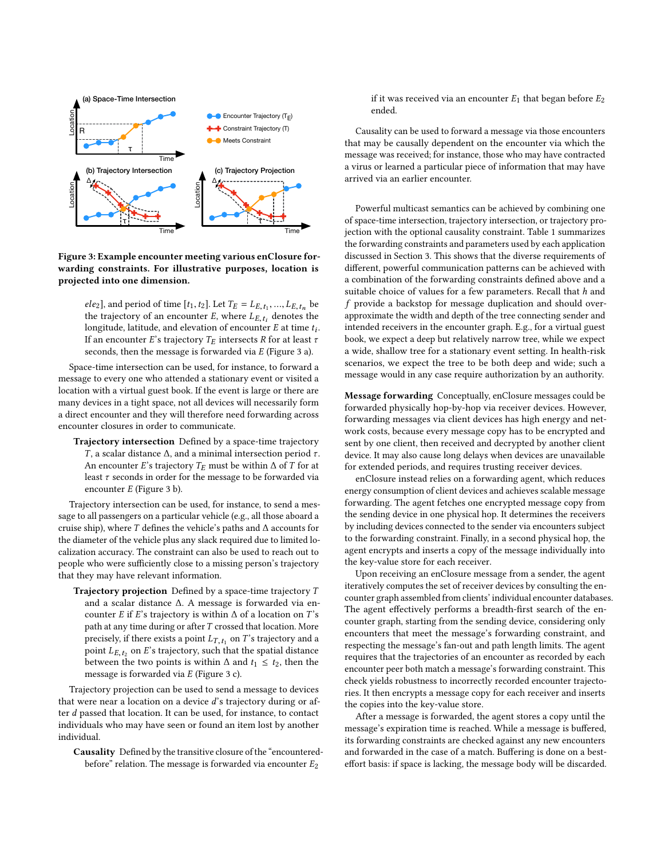<span id="page-5-0"></span>

Figure 3: Example encounter meeting various enClosure forwarding constraints. For illustrative purposes, location is projected into one dimension.

ele<sub>2</sub>], and period of time  $[t_1, t_2]$ . Let  $T_E = L_{E, t_1}, ..., L_{E, t_n}$  be<br>the trajectory of an encounter  $F$ , where  $I_n$ , denotes the the trajectory of an encounter E, where  $L_{E, t_i}$  denotes the<br>longitude latitude and elevation of encounter E at time to longitude, latitude, and elevation of encounter E at time  $t_i$ .<br>If an encounter  $F$ 's trajectory  $T_E$  intersects P for at least  $\tau$ . If an encounter E's trajectory  $T_E$  intersects R for at least  $\tau$ seconds, then the message is forwarded via E (Figure [3](#page-5-0) a).

Space-time intersection can be used, for instance, to forward a message to every one who attended a stationary event or visited a location with a virtual guest book. If the event is large or there are many devices in a tight space, not all devices will necessarily form a direct encounter and they will therefore need forwarding across encounter closures in order to communicate.

Trajectory intersection Defined by a space-time trajectory T, a scalar distance  $Δ$ , and a minimal intersection period  $τ$ . An encounter E's trajectory  $T_E$  must be within  $\Delta$  of T for at least  $\tau$  seconds in order for the message to be forwarded via encounter E (Figure [3](#page-5-0) b).

Trajectory intersection can be used, for instance, to send a message to all passengers on a particular vehicle (e.g., all those aboard a cruise ship), where  $T$  defines the vehicle's paths and  $\Delta$  accounts for the diameter of the vehicle plus any slack required due to limited localization accuracy. The constraint can also be used to reach out to people who were sufficiently close to a missing person's trajectory that they may have relevant information.

**Trajectory projection** Defined by a space-time trajectory  $T$ and a scalar distance ∆. A message is forwarded via encounter E if E's trajectory is within  $\Delta$  of a location on T's path at any time during or after  $T$  crossed that location. More precisely, if there exists a point  $L_{T, t_1}$  on T's trajectory and a<br>point  $L_{T, t_1}$  on  $F'$ s trajectory, such that the spatial distance point  $L_{E, t_2}$  on E's trajectory, such that the spatial distance<br>between the two points is within A and  $t_1 \leq t_2$ , then the between the two points is within  $\Delta$  and  $t_1 \leq t_2$ , then the message is forwarded via E (Figure [3](#page-5-0) c).

Trajectory projection can be used to send a message to devices that were near a location on a device d's trajectory during or after d passed that location. It can be used, for instance, to contact individuals who may have seen or found an item lost by another individual.

Causality Defined by the transitive closure of the "encounteredbefore" relation. The message is forwarded via encounter  $E_2$ 

if it was received via an encounter  $E_1$  that began before  $E_2$ ended.

Causality can be used to forward a message via those encounters that may be causally dependent on the encounter via which the message was received; for instance, those who may have contracted a virus or learned a particular piece of information that may have arrived via an earlier encounter.

Powerful multicast semantics can be achieved by combining one of space-time intersection, trajectory intersection, or trajectory projection with the optional causality constraint. Table [1](#page-6-0) summarizes the forwarding constraints and parameters used by each application discussed in Section [3.](#page-2-1) This shows that the diverse requirements of different, powerful communication patterns can be achieved with a combination of the forwarding constraints defined above and a suitable choice of values for a few parameters. Recall that  $h$  and f provide a backstop for message duplication and should overapproximate the width and depth of the tree connecting sender and intended receivers in the encounter graph. E.g., for a virtual guest book, we expect a deep but relatively narrow tree, while we expect a wide, shallow tree for a stationary event setting. In health-risk scenarios, we expect the tree to be both deep and wide; such a message would in any case require authorization by an authority.

Message forwarding Conceptually, enClosure messages could be forwarded physically hop-by-hop via receiver devices. However, forwarding messages via client devices has high energy and network costs, because every message copy has to be encrypted and sent by one client, then received and decrypted by another client device. It may also cause long delays when devices are unavailable for extended periods, and requires trusting receiver devices.

enClosure instead relies on a forwarding agent, which reduces energy consumption of client devices and achieves scalable message forwarding. The agent fetches one encrypted message copy from the sending device in one physical hop. It determines the receivers by including devices connected to the sender via encounters subject to the forwarding constraint. Finally, in a second physical hop, the agent encrypts and inserts a copy of the message individually into the key-value store for each receiver.

Upon receiving an enClosure message from a sender, the agent iteratively computes the set of receiver devices by consulting the encounter graph assembled from clients' individual encounter databases. The agent effectively performs a breadth-first search of the encounter graph, starting from the sending device, considering only encounters that meet the message's forwarding constraint, and respecting the message's fan-out and path length limits. The agent requires that the trajectories of an encounter as recorded by each encounter peer both match a message's forwarding constraint. This check yields robustness to incorrectly recorded encounter trajectories. It then encrypts a message copy for each receiver and inserts the copies into the key-value store.

After a message is forwarded, the agent stores a copy until the message's expiration time is reached. While a message is buffered, its forwarding constraints are checked against any new encounters and forwarded in the case of a match. Buffering is done on a besteffort basis: if space is lacking, the message body will be discarded.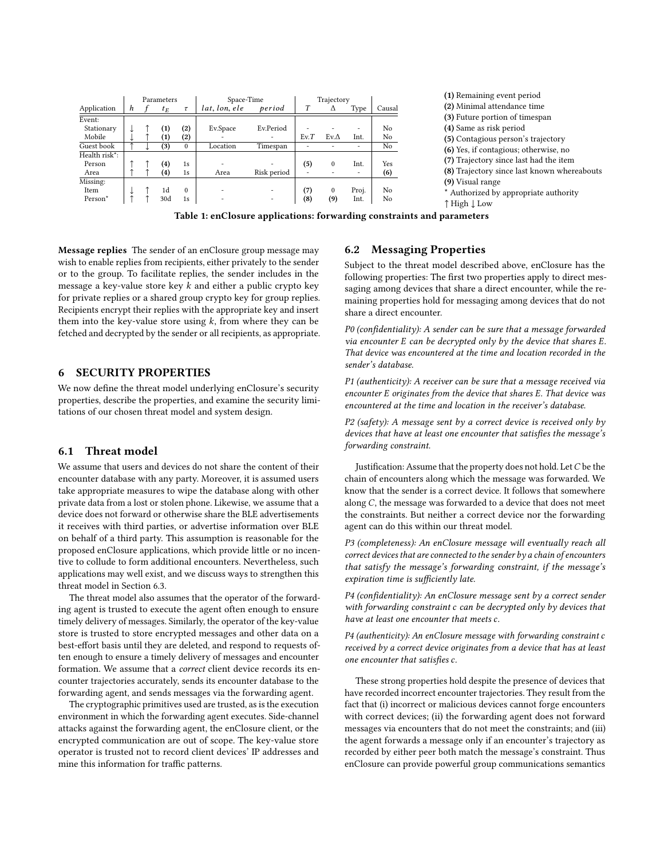<span id="page-6-0"></span>

|               | Parameters |  |                   |                   | Space-Time    |             | Trajectory |             |                          |        |  |
|---------------|------------|--|-------------------|-------------------|---------------|-------------|------------|-------------|--------------------------|--------|--|
| Application   | h          |  | $t_E$             | $\tau$            | lat, lon, ele | period      | T          | Δ           | Type                     | Causal |  |
| Event:        |            |  |                   |                   |               |             |            |             |                          |        |  |
| Stationary    |            |  | $\left( 1\right)$ | (2)               | Ev.Space      | Ev.Period   |            |             |                          | No     |  |
| Mobile        |            |  | $\bf(1)$          | $\left( 2\right)$ |               |             | Ev.T       | $Ev.\Delta$ | Int.                     | No     |  |
| Guest book    |            |  | (3)               | $\Omega$          | Location      | Timespan    |            |             | ٠                        | No     |  |
| Health risk*: |            |  |                   |                   |               |             |            |             |                          |        |  |
| Person        |            |  | $\left( 4\right)$ | 1s                |               |             | (5)        | $\Omega$    | Int.                     | Yes    |  |
| Area          |            |  | $\left( 4\right)$ | 1s                | Area          | Risk period |            |             | $\overline{\phantom{0}}$ | (6)    |  |
| Missing:      |            |  |                   |                   |               |             |            |             |                          |        |  |
| Item          |            |  | 1d                | $\Omega$          |               |             | (7)        | $\Omega$    | Proj.                    | No     |  |
| Person*       |            |  | 30 <sub>d</sub>   | 1s                |               |             | (8)        | (9)         | Int.                     | No     |  |

(1) Remaining event period (2) Minimal attendance time (3) Future portion of timespan (4) Same as risk period (5) Contagious person's trajectory (6) Yes, if contagious; otherwise, no (7) Trajectory since last had the item (8) Trajectory since last known whereabouts (9) Visual range \* Authorized by appropriate authority ↑ High ↓ Low

Table 1: enClosure applications: forwarding constraints and parameters

Message replies The sender of an enClosure group message may wish to enable replies from recipients, either privately to the sender or to the group. To facilitate replies, the sender includes in the message a key-value store key  $k$  and either a public crypto key for private replies or a shared group crypto key for group replies. Recipients encrypt their replies with the appropriate key and insert them into the key-value store using  $k$ , from where they can be fetched and decrypted by the sender or all recipients, as appropriate.

### 6 SECURITY PROPERTIES

We now define the threat model underlying enClosure's security properties, describe the properties, and examine the security limitations of our chosen threat model and system design.

### 6.1 Threat model

We assume that users and devices do not share the content of their encounter database with any party. Moreover, it is assumed users take appropriate measures to wipe the database along with other private data from a lost or stolen phone. Likewise, we assume that a device does not forward or otherwise share the BLE advertisements it receives with third parties, or advertise information over BLE on behalf of a third party. This assumption is reasonable for the proposed enClosure applications, which provide little or no incentive to collude to form additional encounters. Nevertheless, such applications may well exist, and we discuss ways to strengthen this threat model in Section [6.3.](#page-7-1)

The threat model also assumes that the operator of the forwarding agent is trusted to execute the agent often enough to ensure timely delivery of messages. Similarly, the operator of the key-value store is trusted to store encrypted messages and other data on a best-effort basis until they are deleted, and respond to requests often enough to ensure a timely delivery of messages and encounter formation. We assume that a correct client device records its encounter trajectories accurately, sends its encounter database to the forwarding agent, and sends messages via the forwarding agent.

The cryptographic primitives used are trusted, as is the execution environment in which the forwarding agent executes. Side-channel attacks against the forwarding agent, the enClosure client, or the encrypted communication are out of scope. The key-value store operator is trusted not to record client devices' IP addresses and mine this information for traffic patterns.

# 6.2 Messaging Properties

Subject to the threat model described above, enClosure has the following properties: The first two properties apply to direct messaging among devices that share a direct encounter, while the remaining properties hold for messaging among devices that do not share a direct encounter.

P0 (confidentiality): A sender can be sure that a message forwarded via encounter E can be decrypted only by the device that shares E. That device was encountered at the time and location recorded in the sender's database.

P1 (authenticity): A receiver can be sure that a message received via encounter E originates from the device that shares E. That device was encountered at the time and location in the receiver's database.

P2 (safety): A message sent by a correct device is received only by devices that have at least one encounter that satisfies the message's forwarding constraint.

Justification: Assume that the property does not hold. LetC be the chain of encounters along which the message was forwarded. We know that the sender is a correct device. It follows that somewhere along C, the message was forwarded to a device that does not meet the constraints. But neither a correct device nor the forwarding agent can do this within our threat model.

P3 (completeness): An enClosure message will eventually reach all correct devices that are connected to the sender by a chain of encounters that satisfy the message's forwarding constraint, if the message's expiration time is sufficiently late.

P4 (confidentiality): An enClosure message sent by a correct sender with forwarding constraint c can be decrypted only by devices that have at least one encounter that meets c.

 $P4$  (authenticity): An enClosure message with forwarding constraint  $c$ received by a correct device originates from a device that has at least one encounter that satisfies c.

These strong properties hold despite the presence of devices that have recorded incorrect encounter trajectories. They result from the fact that (i) incorrect or malicious devices cannot forge encounters with correct devices; (ii) the forwarding agent does not forward messages via encounters that do not meet the constraints; and (iii) the agent forwards a message only if an encounter's trajectory as recorded by either peer both match the message's constraint. Thus enClosure can provide powerful group communications semantics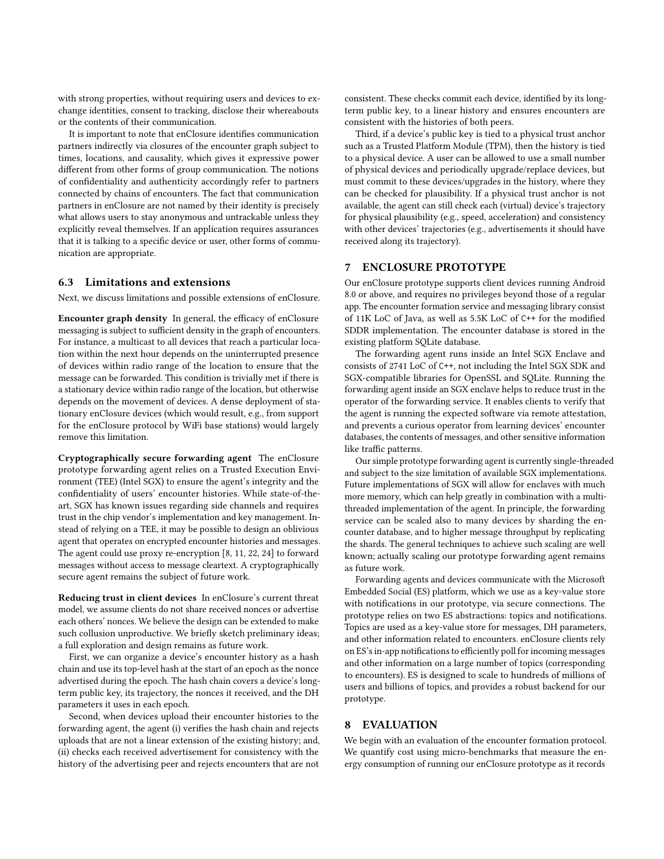with strong properties, without requiring users and devices to exchange identities, consent to tracking, disclose their whereabouts or the contents of their communication.

It is important to note that enClosure identifies communication partners indirectly via closures of the encounter graph subject to times, locations, and causality, which gives it expressive power different from other forms of group communication. The notions of confidentiality and authenticity accordingly refer to partners connected by chains of encounters. The fact that communication partners in enClosure are not named by their identity is precisely what allows users to stay anonymous and untrackable unless they explicitly reveal themselves. If an application requires assurances that it is talking to a specific device or user, other forms of communication are appropriate.

### <span id="page-7-1"></span>6.3 Limitations and extensions

Next, we discuss limitations and possible extensions of enClosure.

Encounter graph density In general, the efficacy of enClosure messaging is subject to sufficient density in the graph of encounters. For instance, a multicast to all devices that reach a particular location within the next hour depends on the uninterrupted presence of devices within radio range of the location to ensure that the message can be forwarded. This condition is trivially met if there is a stationary device within radio range of the location, but otherwise depends on the movement of devices. A dense deployment of stationary enClosure devices (which would result, e.g., from support for the enClosure protocol by WiFi base stations) would largely remove this limitation.

Cryptographically secure forwarding agent The enClosure prototype forwarding agent relies on a Trusted Execution Environment (TEE) (Intel SGX) to ensure the agent's integrity and the confidentiality of users' encounter histories. While state-of-theart, SGX has known issues regarding side channels and requires trust in the chip vendor's implementation and key management. Instead of relying on a TEE, it may be possible to design an oblivious agent that operates on encrypted encounter histories and messages. The agent could use proxy re-encryption [\[8,](#page-12-23) [11,](#page-12-24) [22,](#page-12-25) [24\]](#page-12-26) to forward messages without access to message cleartext. A cryptographically secure agent remains the subject of future work.

Reducing trust in client devices In enClosure's current threat model, we assume clients do not share received nonces or advertise each others' nonces. We believe the design can be extended to make such collusion unproductive. We briefly sketch preliminary ideas; a full exploration and design remains as future work.

First, we can organize a device's encounter history as a hash chain and use its top-level hash at the start of an epoch as the nonce advertised during the epoch. The hash chain covers a device's longterm public key, its trajectory, the nonces it received, and the DH parameters it uses in each epoch.

Second, when devices upload their encounter histories to the forwarding agent, the agent (i) verifies the hash chain and rejects uploads that are not a linear extension of the existing history; and, (ii) checks each received advertisement for consistency with the history of the advertising peer and rejects encounters that are not consistent. These checks commit each device, identified by its longterm public key, to a linear history and ensures encounters are consistent with the histories of both peers.

Third, if a device's public key is tied to a physical trust anchor such as a Trusted Platform Module (TPM), then the history is tied to a physical device. A user can be allowed to use a small number of physical devices and periodically upgrade/replace devices, but must commit to these devices/upgrades in the history, where they can be checked for plausibility. If a physical trust anchor is not available, the agent can still check each (virtual) device's trajectory for physical plausibility (e.g., speed, acceleration) and consistency with other devices' trajectories (e.g., advertisements it should have received along its trajectory).

### 7 ENCLOSURE PROTOTYPE

Our enClosure prototype supports client devices running Android 8.0 or above, and requires no privileges beyond those of a regular app. The encounter formation service and messaging library consist of 11K LoC of Java, as well as 5.5K LoC of C++ for the modified SDDR implementation. The encounter database is stored in the existing platform SQLite database.

The forwarding agent runs inside an Intel SGX Enclave and consists of 2741 LoC of C++, not including the Intel SGX SDK and SGX-compatible libraries for OpenSSL and SQLite. Running the forwarding agent inside an SGX enclave helps to reduce trust in the operator of the forwarding service. It enables clients to verify that the agent is running the expected software via remote attestation, and prevents a curious operator from learning devices' encounter databases, the contents of messages, and other sensitive information like traffic patterns.

Our simple prototype forwarding agent is currently single-threaded and subject to the size limitation of available SGX implementations. Future implementations of SGX will allow for enclaves with much more memory, which can help greatly in combination with a multithreaded implementation of the agent. In principle, the forwarding service can be scaled also to many devices by sharding the encounter database, and to higher message throughput by replicating the shards. The general techniques to achieve such scaling are well known; actually scaling our prototype forwarding agent remains as future work.

Forwarding agents and devices communicate with the Microsoft Embedded Social (ES) platform, which we use as a key-value store with notifications in our prototype, via secure connections. The prototype relies on two ES abstractions: topics and notifications. Topics are used as a key-value store for messages, DH parameters, and other information related to encounters. enClosure clients rely on ES's in-app notifications to efficiently poll for incoming messages and other information on a large number of topics (corresponding to encounters). ES is designed to scale to hundreds of millions of users and billions of topics, and provides a robust backend for our prototype.

### <span id="page-7-0"></span>8 EVALUATION

We begin with an evaluation of the encounter formation protocol. We quantify cost using micro-benchmarks that measure the energy consumption of running our enClosure prototype as it records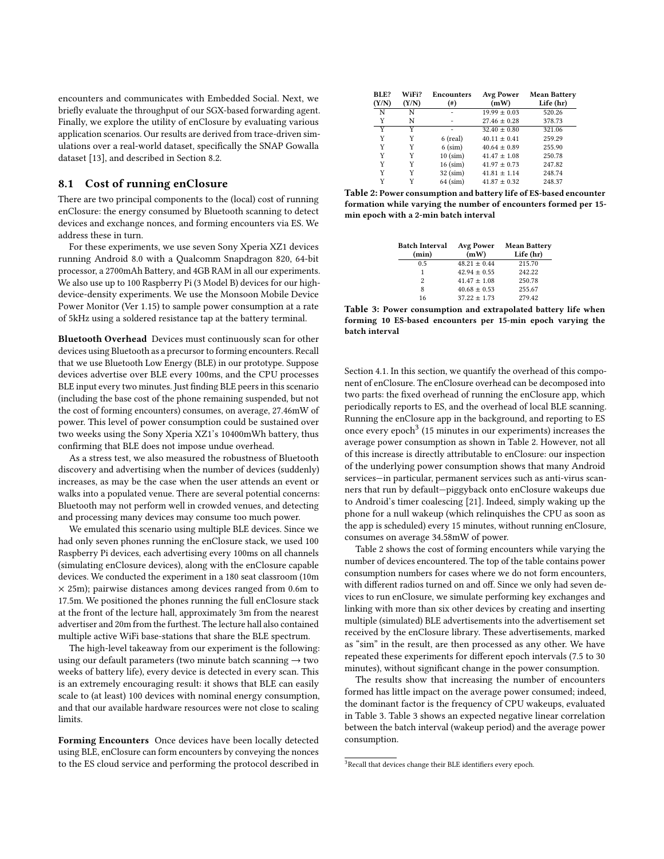encounters and communicates with Embedded Social. Next, we briefly evaluate the throughput of our SGX-based forwarding agent. Finally, we explore the utility of enClosure by evaluating various application scenarios. Our results are derived from trace-driven simulations over a real-world dataset, specifically the SNAP Gowalla dataset [\[13\]](#page-12-27), and described in Section [8.2.](#page-9-0)

# 8.1 Cost of running enClosure

There are two principal components to the (local) cost of running enClosure: the energy consumed by Bluetooth scanning to detect devices and exchange nonces, and forming encounters via ES. We address these in turn.

For these experiments, we use seven Sony Xperia XZ1 devices running Android 8.0 with a Qualcomm Snapdragon 820, 64-bit processor, a 2700mAh Battery, and 4GB RAM in all our experiments. We also use up to 100 Raspberry Pi (3 Model B) devices for our highdevice-density experiments. We use the Monsoon Mobile Device Power Monitor (Ver 1.15) to sample power consumption at a rate of 5kHz using a soldered resistance tap at the battery terminal.

Bluetooth Overhead Devices must continuously scan for other devices using Bluetooth as a precursor to forming encounters. Recall that we use Bluetooth Low Energy (BLE) in our prototype. Suppose devices advertise over BLE every 100ms, and the CPU processes BLE input every two minutes. Just finding BLE peers in this scenario (including the base cost of the phone remaining suspended, but not the cost of forming encounters) consumes, on average, 27.46mW of power. This level of power consumption could be sustained over two weeks using the Sony Xperia XZ1's 10400mWh battery, thus confirming that BLE does not impose undue overhead.

As a stress test, we also measured the robustness of Bluetooth discovery and advertising when the number of devices (suddenly) increases, as may be the case when the user attends an event or walks into a populated venue. There are several potential concerns: Bluetooth may not perform well in crowded venues, and detecting and processing many devices may consume too much power.

We emulated this scenario using multiple BLE devices. Since we had only seven phones running the enClosure stack, we used 100 Raspberry Pi devices, each advertising every 100ms on all channels (simulating enClosure devices), along with the enClosure capable devices. We conducted the experiment in a 180 seat classroom (10m × 25m); pairwise distances among devices ranged from 0.6m to 17.5m. We positioned the phones running the full enClosure stack at the front of the lecture hall, approximately 3m from the nearest advertiser and 20m from the furthest. The lecture hall also contained multiple active WiFi base-stations that share the BLE spectrum.

The high-level takeaway from our experiment is the following: using our default parameters (two minute batch scanning  $\rightarrow$  two weeks of battery life), every device is detected in every scan. This is an extremely encouraging result: it shows that BLE can easily scale to (at least) 100 devices with nominal energy consumption, and that our available hardware resources were not close to scaling limits.

Forming Encounters Once devices have been locally detected using BLE, enClosure can form encounters by conveying the nonces to the ES cloud service and performing the protocol described in

<span id="page-8-1"></span>

| BLE?<br>(Y/N) | WiFi?<br>(Y/N) | <b>Encounters</b><br>$^{(+)}$ | Avg Power<br>(mW) | <b>Mean Battery</b><br>Life (hr) |
|---------------|----------------|-------------------------------|-------------------|----------------------------------|
| N             | N              |                               | $19.99 \pm 0.03$  | 520.26                           |
| Y             | N              |                               | $27.46 \pm 0.28$  | 378.73                           |
| Y             | Y              |                               | $32.40 \pm 0.80$  | 321.06                           |
| Y             | Y              | $6$ (real)                    | $40.11 \pm 0.41$  | 259.29                           |
| Y             | Y              | $6$ (sim)                     | $40.64 + 0.89$    | 255.90                           |
| Y             | Y              | $10$ (sim)                    | $41.47 \pm 1.08$  | 250.78                           |
| Y             | Y              | $16$ (sim)                    | $41.97 \pm 0.73$  | 247.82                           |
| Y             | Y              | $32$ (sim)                    | $41.81 \pm 1.14$  | 248.74                           |
| Y             | Y              | $64$ (sim)                    | $41.87 + 0.32$    | 248.37                           |

<span id="page-8-2"></span>Table 2: Power consumption and battery life of ES-based encounter formation while varying the number of encounters formed per 15 min epoch with a 2-min batch interval

| Batch Interval<br>(min) | Avg Power<br>(mW) | <b>Mean Battery</b><br>Life (hr) |
|-------------------------|-------------------|----------------------------------|
| 0.5                     | $48.21 + 0.44$    | 215.70                           |
| 1                       | $42.94 + 0.55$    | 242.22                           |
| $\mathfrak{p}$          | $41.47 \pm 1.08$  | 250.78                           |
| 8                       | $40.68 + 0.53$    | 255.67                           |
| 16                      | $37.22 \pm 1.73$  | 279.42                           |

Table 3: Power consumption and extrapolated battery life when forming 10 ES-based encounters per 15-min epoch varying the batch interval

Section [4.1.](#page-3-2) In this section, we quantify the overhead of this component of enClosure. The enClosure overhead can be decomposed into two parts: the fixed overhead of running the enClosure app, which periodically reports to ES, and the overhead of local BLE scanning. Running the enClosure app in the background, and reporting to ES once every epoch<sup>[3](#page-8-0)</sup> (15 minutes in our experiments) increases the average power consumption as shown in Table [2.](#page-8-1) However, not all of this increase is directly attributable to enClosure: our inspection of the underlying power consumption shows that many Android services—in particular, permanent services such as anti-virus scanners that run by default—piggyback onto enClosure wakeups due to Android's timer coalescing [\[21\]](#page-12-28). Indeed, simply waking up the phone for a null wakeup (which relinquishes the CPU as soon as the app is scheduled) every 15 minutes, without running enClosure, consumes on average 34.58mW of power.

Table [2](#page-8-1) shows the cost of forming encounters while varying the number of devices encountered. The top of the table contains power consumption numbers for cases where we do not form encounters, with different radios turned on and off. Since we only had seven devices to run enClosure, we simulate performing key exchanges and linking with more than six other devices by creating and inserting multiple (simulated) BLE advertisements into the advertisement set received by the enClosure library. These advertisements, marked as "sim" in the result, are then processed as any other. We have repeated these experiments for different epoch intervals (7.5 to 30 minutes), without significant change in the power consumption.

The results show that increasing the number of encounters formed has little impact on the average power consumed; indeed, the dominant factor is the frequency of CPU wakeups, evaluated in Table [3.](#page-8-2) Table [3](#page-8-2) shows an expected negative linear correlation between the batch interval (wakeup period) and the average power consumption.

<span id="page-8-0"></span><sup>&</sup>lt;sup>3</sup>Recall that devices change their BLE identifiers every epoch.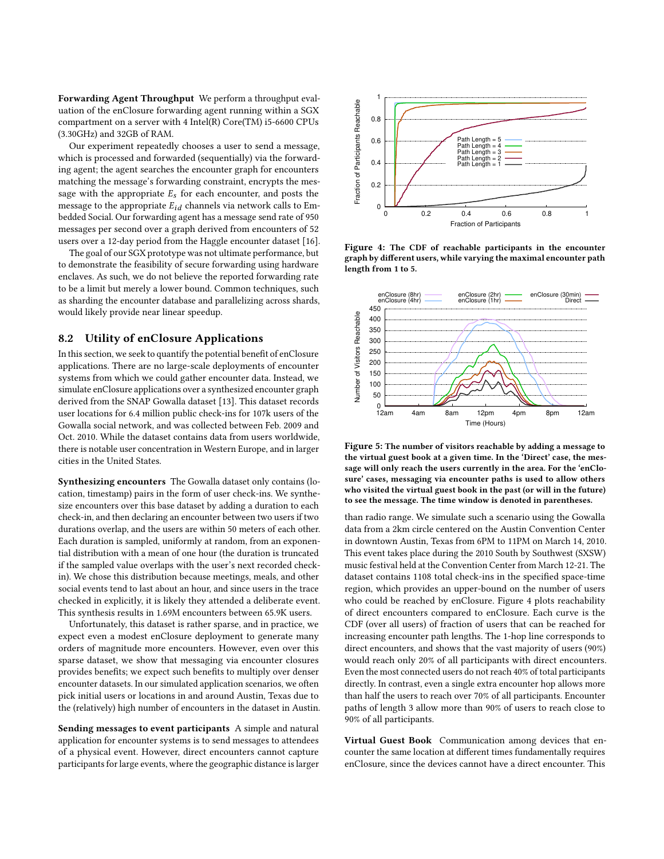Forwarding Agent Throughput We perform a throughput evaluation of the enClosure forwarding agent running within a SGX compartment on a server with 4 Intel(R) Core(TM) i5-6600 CPUs (3.30GHz) and 32GB of RAM.

Our experiment repeatedly chooses a user to send a message, which is processed and forwarded (sequentially) via the forwarding agent; the agent searches the encounter graph for encounters matching the message's forwarding constraint, encrypts the message with the appropriate  $E_s$  for each encounter, and posts the message to the appropriate  $E_{id}$  channels via network calls to Embedded Social. Our forwarding agent has a message send rate of 950 messages per second over a graph derived from encounters of 52 users over a 12-day period from the Haggle encounter dataset [\[16\]](#page-12-29).

The goal of our SGX prototype was not ultimate performance, but to demonstrate the feasibility of secure forwarding using hardware enclaves. As such, we do not believe the reported forwarding rate to be a limit but merely a lower bound. Common techniques, such as sharding the encounter database and parallelizing across shards, would likely provide near linear speedup.

# <span id="page-9-0"></span>8.2 Utility of enClosure Applications

In this section, we seek to quantify the potential benefit of enClosure applications. There are no large-scale deployments of encounter systems from which we could gather encounter data. Instead, we simulate enClosure applications over a synthesized encounter graph derived from the SNAP Gowalla dataset [\[13\]](#page-12-27). This dataset records user locations for 6.4 million public check-ins for 107k users of the Gowalla social network, and was collected between Feb. 2009 and Oct. 2010. While the dataset contains data from users worldwide, there is notable user concentration in Western Europe, and in larger cities in the United States.

Synthesizing encounters The Gowalla dataset only contains (location, timestamp) pairs in the form of user check-ins. We synthesize encounters over this base dataset by adding a duration to each check-in, and then declaring an encounter between two users if two durations overlap, and the users are within 50 meters of each other. Each duration is sampled, uniformly at random, from an exponential distribution with a mean of one hour (the duration is truncated if the sampled value overlaps with the user's next recorded checkin). We chose this distribution because meetings, meals, and other social events tend to last about an hour, and since users in the trace checked in explicitly, it is likely they attended a deliberate event. This synthesis results in 1.69M encounters between 65.9K users.

Unfortunately, this dataset is rather sparse, and in practice, we expect even a modest enClosure deployment to generate many orders of magnitude more encounters. However, even over this sparse dataset, we show that messaging via encounter closures provides benefits; we expect such benefits to multiply over denser encounter datasets. In our simulated application scenarios, we often pick initial users or locations in and around Austin, Texas due to the (relatively) high number of encounters in the dataset in Austin.

Sending messages to event participants A simple and natural application for encounter systems is to send messages to attendees of a physical event. However, direct encounters cannot capture participants for large events, where the geographic distance is larger

<span id="page-9-1"></span>

Figure 4: The CDF of reachable participants in the encounter graph by different users, while varying the maximal encounter path length from 1 to 5.

<span id="page-9-2"></span>

Figure 5: The number of visitors reachable by adding a message to the virtual guest book at a given time. In the 'Direct' case, the message will only reach the users currently in the area. For the 'enClosure' cases, messaging via encounter paths is used to allow others who visited the virtual guest book in the past (or will in the future) to see the message. The time window is denoted in parentheses.

than radio range. We simulate such a scenario using the Gowalla data from a 2km circle centered on the Austin Convention Center in downtown Austin, Texas from 6PM to 11PM on March 14, 2010. This event takes place during the 2010 South by Southwest (SXSW) music festival held at the Convention Center from March 12-21. The dataset contains 1108 total check-ins in the specified space-time region, which provides an upper-bound on the number of users who could be reached by enClosure. Figure [4](#page-9-1) plots reachability of direct encounters compared to enClosure. Each curve is the CDF (over all users) of fraction of users that can be reached for increasing encounter path lengths. The 1-hop line corresponds to direct encounters, and shows that the vast majority of users (90%) would reach only 20% of all participants with direct encounters. Even the most connected users do not reach 40% of total participants directly. In contrast, even a single extra encounter hop allows more than half the users to reach over 70% of all participants. Encounter paths of length 3 allow more than 90% of users to reach close to 90% of all participants.

Virtual Guest Book Communication among devices that encounter the same location at different times fundamentally requires enClosure, since the devices cannot have a direct encounter. This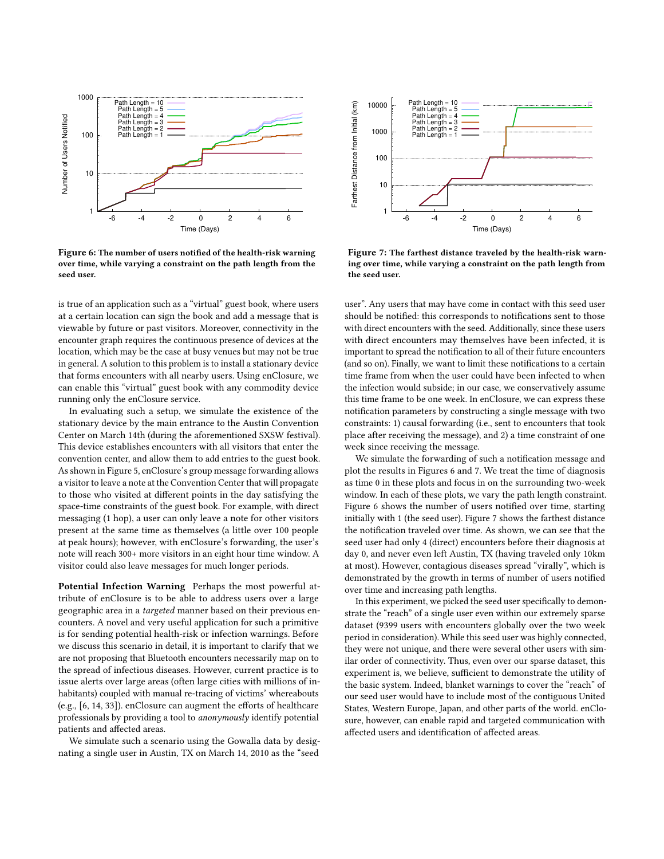<span id="page-10-0"></span>

Figure 6: The number of users notified of the health-risk warning over time, while varying a constraint on the path length from the seed user.

is true of an application such as a "virtual" guest book, where users at a certain location can sign the book and add a message that is viewable by future or past visitors. Moreover, connectivity in the encounter graph requires the continuous presence of devices at the location, which may be the case at busy venues but may not be true in general. A solution to this problem is to install a stationary device that forms encounters with all nearby users. Using enClosure, we can enable this "virtual" guest book with any commodity device running only the enClosure service.

In evaluating such a setup, we simulate the existence of the stationary device by the main entrance to the Austin Convention Center on March 14th (during the aforementioned SXSW festival). This device establishes encounters with all visitors that enter the convention center, and allow them to add entries to the guest book. As shown in Figure [5,](#page-9-2) enClosure's group message forwarding allows a visitor to leave a note at the Convention Center that will propagate to those who visited at different points in the day satisfying the space-time constraints of the guest book. For example, with direct messaging (1 hop), a user can only leave a note for other visitors present at the same time as themselves (a little over 100 people at peak hours); however, with enClosure's forwarding, the user's note will reach 300+ more visitors in an eight hour time window. A visitor could also leave messages for much longer periods.

Potential Infection Warning Perhaps the most powerful attribute of enClosure is to be able to address users over a large geographic area in a targeted manner based on their previous encounters. A novel and very useful application for such a primitive is for sending potential health-risk or infection warnings. Before we discuss this scenario in detail, it is important to clarify that we are not proposing that Bluetooth encounters necessarily map on to the spread of infectious diseases. However, current practice is to issue alerts over large areas (often large cities with millions of inhabitants) coupled with manual re-tracing of victims' whereabouts (e.g., [\[6,](#page-12-30) [14,](#page-12-31) [33\]](#page-12-32)). enClosure can augment the efforts of healthcare professionals by providing a tool to anonymously identify potential patients and affected areas.

We simulate such a scenario using the Gowalla data by designating a single user in Austin, TX on March 14, 2010 as the "seed



Figure 7: The farthest distance traveled by the health-risk warning over time, while varying a constraint on the path length from the seed user.

user". Any users that may have come in contact with this seed user should be notified: this corresponds to notifications sent to those with direct encounters with the seed. Additionally, since these users with direct encounters may themselves have been infected, it is important to spread the notification to all of their future encounters (and so on). Finally, we want to limit these notifications to a certain time frame from when the user could have been infected to when the infection would subside; in our case, we conservatively assume this time frame to be one week. In enClosure, we can express these notification parameters by constructing a single message with two constraints: 1) causal forwarding (i.e., sent to encounters that took place after receiving the message), and 2) a time constraint of one week since receiving the message.

We simulate the forwarding of such a notification message and plot the results in Figures [6](#page-10-0) and [7.](#page-10-0) We treat the time of diagnosis as time 0 in these plots and focus in on the surrounding two-week window. In each of these plots, we vary the path length constraint. Figure [6](#page-10-0) shows the number of users notified over time, starting initially with 1 (the seed user). Figure [7](#page-10-0) shows the farthest distance the notification traveled over time. As shown, we can see that the seed user had only 4 (direct) encounters before their diagnosis at day 0, and never even left Austin, TX (having traveled only 10km at most). However, contagious diseases spread "virally", which is demonstrated by the growth in terms of number of users notified over time and increasing path lengths.

In this experiment, we picked the seed user specifically to demonstrate the "reach" of a single user even within our extremely sparse dataset (9399 users with encounters globally over the two week period in consideration). While this seed user was highly connected, they were not unique, and there were several other users with similar order of connectivity. Thus, even over our sparse dataset, this experiment is, we believe, sufficient to demonstrate the utility of the basic system. Indeed, blanket warnings to cover the "reach" of our seed user would have to include most of the contiguous United States, Western Europe, Japan, and other parts of the world. enClosure, however, can enable rapid and targeted communication with affected users and identification of affected areas.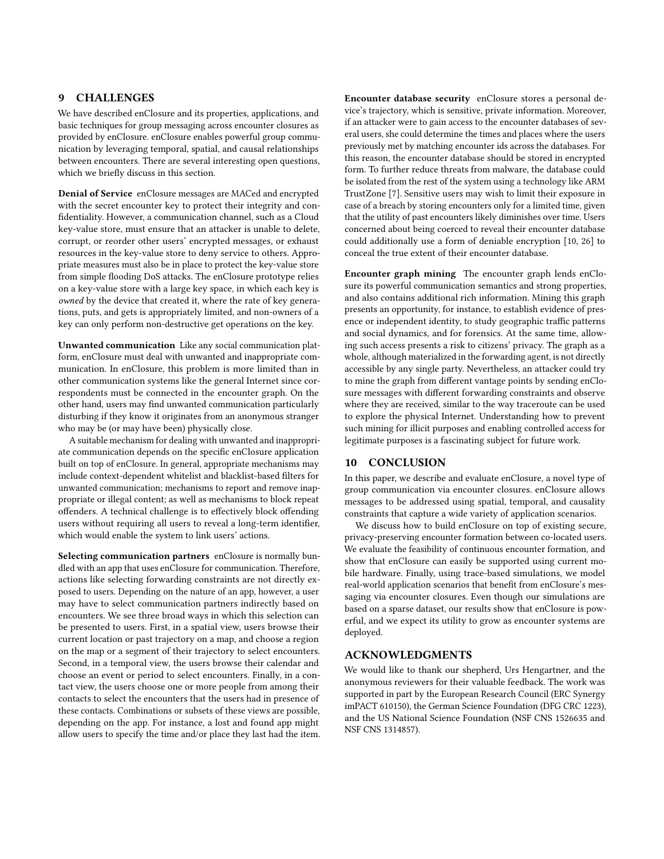# 9 CHALLENGES

We have described enClosure and its properties, applications, and basic techniques for group messaging across encounter closures as provided by enClosure. enClosure enables powerful group communication by leveraging temporal, spatial, and causal relationships between encounters. There are several interesting open questions, which we briefly discuss in this section.

Denial of Service enClosure messages are MACed and encrypted with the secret encounter key to protect their integrity and confidentiality. However, a communication channel, such as a Cloud key-value store, must ensure that an attacker is unable to delete, corrupt, or reorder other users' encrypted messages, or exhaust resources in the key-value store to deny service to others. Appropriate measures must also be in place to protect the key-value store from simple flooding DoS attacks. The enClosure prototype relies on a key-value store with a large key space, in which each key is owned by the device that created it, where the rate of key generations, puts, and gets is appropriately limited, and non-owners of a key can only perform non-destructive get operations on the key.

Unwanted communication Like any social communication platform, enClosure must deal with unwanted and inappropriate communication. In enClosure, this problem is more limited than in other communication systems like the general Internet since correspondents must be connected in the encounter graph. On the other hand, users may find unwanted communication particularly disturbing if they know it originates from an anonymous stranger who may be (or may have been) physically close.

A suitable mechanism for dealing with unwanted and inappropriate communication depends on the specific enClosure application built on top of enClosure. In general, appropriate mechanisms may include context-dependent whitelist and blacklist-based filters for unwanted communication; mechanisms to report and remove inappropriate or illegal content; as well as mechanisms to block repeat offenders. A technical challenge is to effectively block offending users without requiring all users to reveal a long-term identifier, which would enable the system to link users' actions.

Selecting communication partners enClosure is normally bundled with an app that uses enClosure for communication. Therefore, actions like selecting forwarding constraints are not directly exposed to users. Depending on the nature of an app, however, a user may have to select communication partners indirectly based on encounters. We see three broad ways in which this selection can be presented to users. First, in a spatial view, users browse their current location or past trajectory on a map, and choose a region on the map or a segment of their trajectory to select encounters. Second, in a temporal view, the users browse their calendar and choose an event or period to select encounters. Finally, in a contact view, the users choose one or more people from among their contacts to select the encounters that the users had in presence of these contacts. Combinations or subsets of these views are possible, depending on the app. For instance, a lost and found app might allow users to specify the time and/or place they last had the item.

Encounter database security enClosure stores a personal device's trajectory, which is sensitive, private information. Moreover, if an attacker were to gain access to the encounter databases of several users, she could determine the times and places where the users previously met by matching encounter ids across the databases. For this reason, the encounter database should be stored in encrypted form. To further reduce threats from malware, the database could be isolated from the rest of the system using a technology like ARM TrustZone [\[7\]](#page-12-33). Sensitive users may wish to limit their exposure in case of a breach by storing encounters only for a limited time, given that the utility of past encounters likely diminishes over time. Users concerned about being coerced to reveal their encounter database could additionally use a form of deniable encryption [\[10,](#page-12-34) [26\]](#page-12-35) to conceal the true extent of their encounter database.

Encounter graph mining The encounter graph lends enClosure its powerful communication semantics and strong properties, and also contains additional rich information. Mining this graph presents an opportunity, for instance, to establish evidence of presence or independent identity, to study geographic traffic patterns and social dynamics, and for forensics. At the same time, allowing such access presents a risk to citizens' privacy. The graph as a whole, although materialized in the forwarding agent, is not directly accessible by any single party. Nevertheless, an attacker could try to mine the graph from different vantage points by sending enClosure messages with different forwarding constraints and observe where they are received, similar to the way traceroute can be used to explore the physical Internet. Understanding how to prevent such mining for illicit purposes and enabling controlled access for legitimate purposes is a fascinating subject for future work.

### 10 CONCLUSION

In this paper, we describe and evaluate enClosure, a novel type of group communication via encounter closures. enClosure allows messages to be addressed using spatial, temporal, and causality constraints that capture a wide variety of application scenarios.

We discuss how to build enClosure on top of existing secure, privacy-preserving encounter formation between co-located users. We evaluate the feasibility of continuous encounter formation, and show that enClosure can easily be supported using current mobile hardware. Finally, using trace-based simulations, we model real-world application scenarios that benefit from enClosure's messaging via encounter closures. Even though our simulations are based on a sparse dataset, our results show that enClosure is powerful, and we expect its utility to grow as encounter systems are deployed.

# ACKNOWLEDGMENTS

We would like to thank our shepherd, Urs Hengartner, and the anonymous reviewers for their valuable feedback. The work was supported in part by the European Research Council (ERC Synergy imPACT 610150), the German Science Foundation (DFG CRC 1223), and the US National Science Foundation (NSF CNS 1526635 and NSF CNS 1314857).